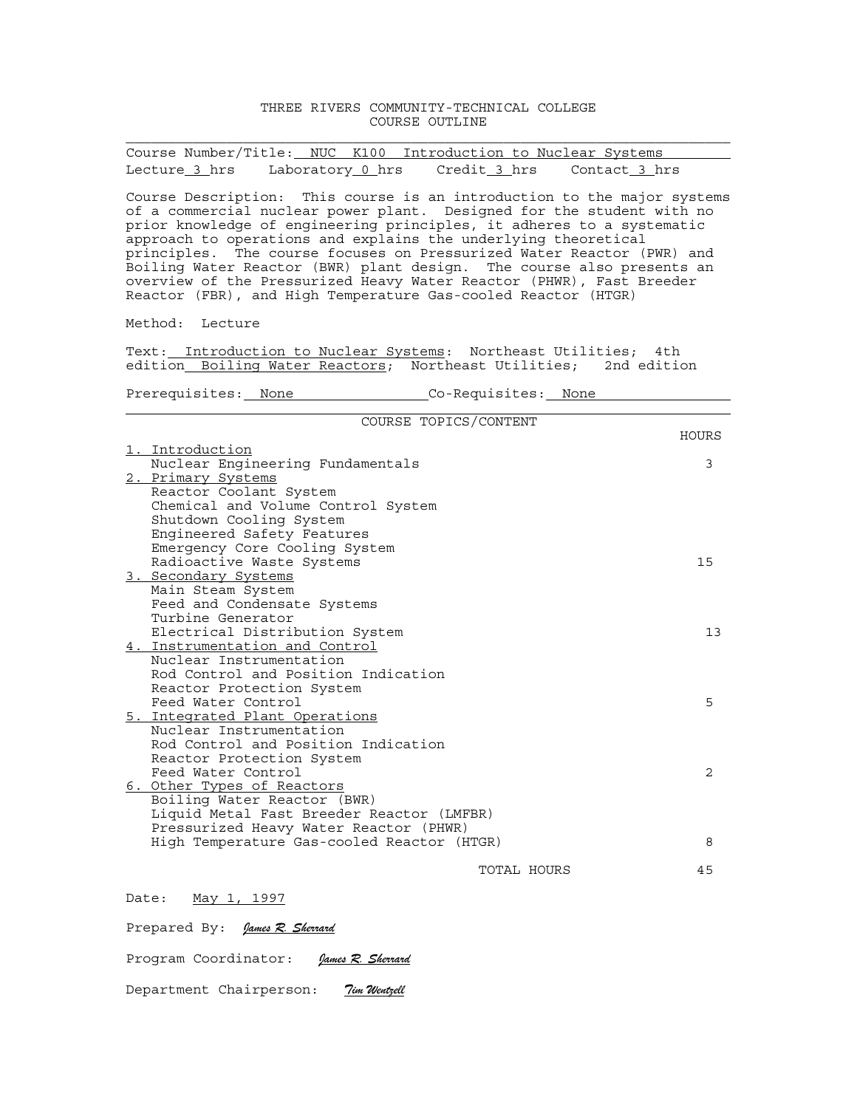## THREE RIVERS COMMUNITY-TECHNICAL COLLEGE COURSE OUTLINE

|               |  |                                  | Course Number/Title: NUC K100 Introduction to Nuclear Systems |  |
|---------------|--|----------------------------------|---------------------------------------------------------------|--|
| Lecture 3 hrs |  | Laboratory 0 hrs    Credit 3 hrs | Contact 3 hrs                                                 |  |

Course Description: This course is an introduction to the major systems of a commercial nuclear power plant. Designed for the student with no prior knowledge of engineering principles, it adheres to a systematic approach to operations and explains the underlying theoretical principles. The course focuses on Pressurized Water Reactor (PWR) and Boiling Water Reactor (BWR) plant design. The course also presents an overview of the Pressurized Heavy Water Reactor (PHWR), Fast Breeder Reactor (FBR), and High Temperature Gas-cooled Reactor (HTGR)

Method: Lecture

Text: Introduction to Nuclear Systems: Northeast Utilities; 4th edition Boiling Water Reactors; Northeast Utilities; 2nd edition

Prerequisites: None Co-Requisites: None

| COURSE TOPICS/CONTENT                      |       |
|--------------------------------------------|-------|
|                                            | HOURS |
| 1. Introduction                            |       |
| Nuclear Engineering Fundamentals           | 3     |
| 2. Primary Systems                         |       |
| Reactor Coolant System                     |       |
| Chemical and Volume Control System         |       |
| Shutdown Cooling System                    |       |
| Engineered Safety Features                 |       |
| Emergency Core Cooling System              |       |
| Radioactive Waste Systems                  | 15    |
| 3. Secondary Systems                       |       |
| Main Steam System                          |       |
| Feed and Condensate Systems                |       |
| Turbine Generator                          |       |
| Electrical Distribution System             | 13    |
| 4. Instrumentation and Control             |       |
| Nuclear Instrumentation                    |       |
| Rod Control and Position Indication        |       |
| Reactor Protection System                  |       |
| Feed Water Control                         | 5     |
| 5. Integrated Plant Operations             |       |
| Nuclear Instrumentation                    |       |
| Rod Control and Position Indication        |       |
| Reactor Protection System                  |       |
| Feed Water Control                         | 2     |
| 6. Other Types of Reactors                 |       |
| Boiling Water Reactor (BWR)                |       |
| Liquid Metal Fast Breeder Reactor (LMFBR)  |       |
| Pressurized Heavy Water Reactor (PHWR)     |       |
| High Temperature Gas-cooled Reactor (HTGR) | 8     |
|                                            |       |
| TOTAL HOURS                                | 45    |
|                                            |       |
| $M = -2$ 1 1000                            |       |

Date: May 1, 1997

Prepared By: *James R. Sherrard*

Program Coordinator: *James R. Sherrard*

Department Chairperson: *Tim Wentzell*